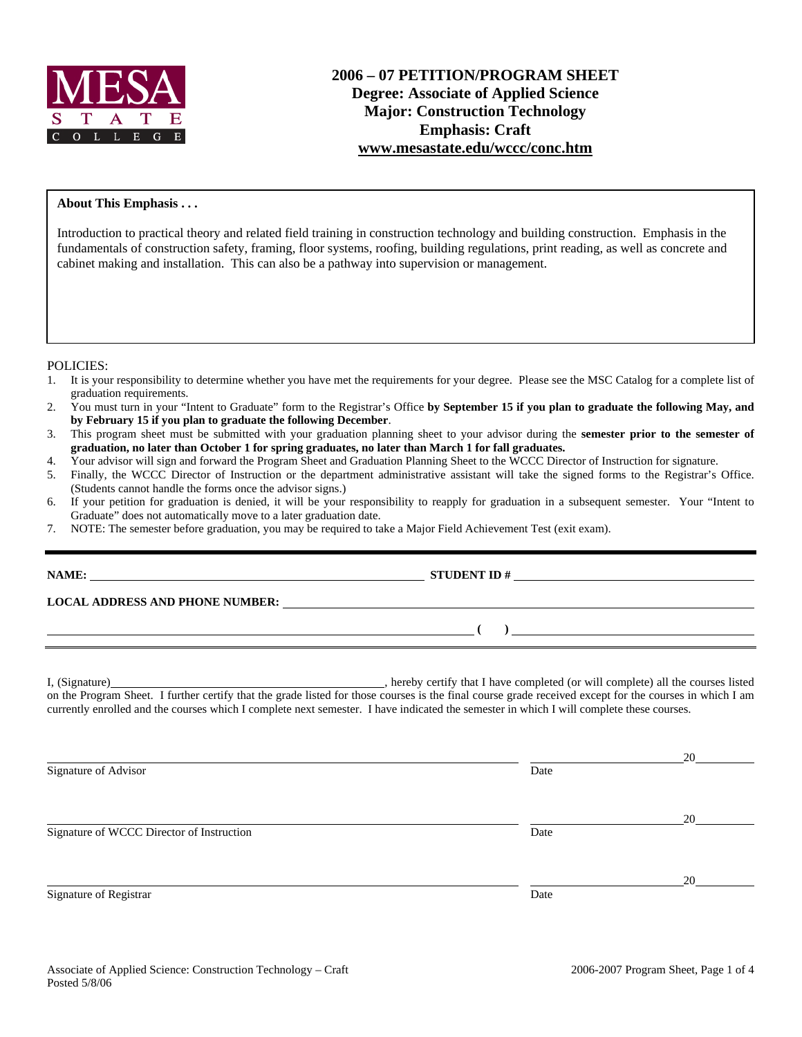

#### **About This Emphasis . . .**

Introduction to practical theory and related field training in construction technology and building construction. Emphasis in the fundamentals of construction safety, framing, floor systems, roofing, building regulations, print reading, as well as concrete and cabinet making and installation. This can also be a pathway into supervision or management.

POLICIES:

- 1. It is your responsibility to determine whether you have met the requirements for your degree. Please see the MSC Catalog for a complete list of graduation requirements.
- 2. You must turn in your "Intent to Graduate" form to the Registrar's Office **by September 15 if you plan to graduate the following May, and by February 15 if you plan to graduate the following December**.
- 3. This program sheet must be submitted with your graduation planning sheet to your advisor during the **semester prior to the semester of graduation, no later than October 1 for spring graduates, no later than March 1 for fall graduates.**
- 4. Your advisor will sign and forward the Program Sheet and Graduation Planning Sheet to the WCCC Director of Instruction for signature.<br>5. Finally, the WCCC Director of Instruction or the department administrative assista
- 5. Finally, the WCCC Director of Instruction or the department administrative assistant will take the signed forms to the Registrar's Office. (Students cannot handle the forms once the advisor signs.)
- 6. If your petition for graduation is denied, it will be your responsibility to reapply for graduation in a subsequent semester. Your "Intent to Graduate" does not automatically move to a later graduation date.
- 7. NOTE: The semester before graduation, you may be required to take a Major Field Achievement Test (exit exam).

|                                           | STUDENT ID $#$                                                                                                                                                                                                                                                                                   |    |
|-------------------------------------------|--------------------------------------------------------------------------------------------------------------------------------------------------------------------------------------------------------------------------------------------------------------------------------------------------|----|
|                                           | LOCAL ADDRESS AND PHONE NUMBER: Under the contract of the contract of the contract of the contract of the contract of the contract of the contract of the contract of the contract of the contract of the contract of the cont                                                                   |    |
|                                           | $\overline{a}$ ( ) and the contract of $\overline{a}$ ( ) and the contract of $\overline{a}$ ( ) and $\overline{a}$ ( ) and $\overline{a}$ ( ) and $\overline{a}$ ( ) and $\overline{a}$ ( ) and $\overline{a}$ ( ) and $\overline{a}$ ( ) and $\overline{a}$ ( ) and $\overline{a}$ ( ) and $\$ |    |
|                                           | currently enrolled and the courses which I complete next semester. I have indicated the semester in which I will complete these courses.                                                                                                                                                         |    |
| Signature of Advisor                      | Date                                                                                                                                                                                                                                                                                             | 20 |
| Signature of WCCC Director of Instruction | Date                                                                                                                                                                                                                                                                                             | 20 |
| Signature of Registrar                    | Date                                                                                                                                                                                                                                                                                             | 20 |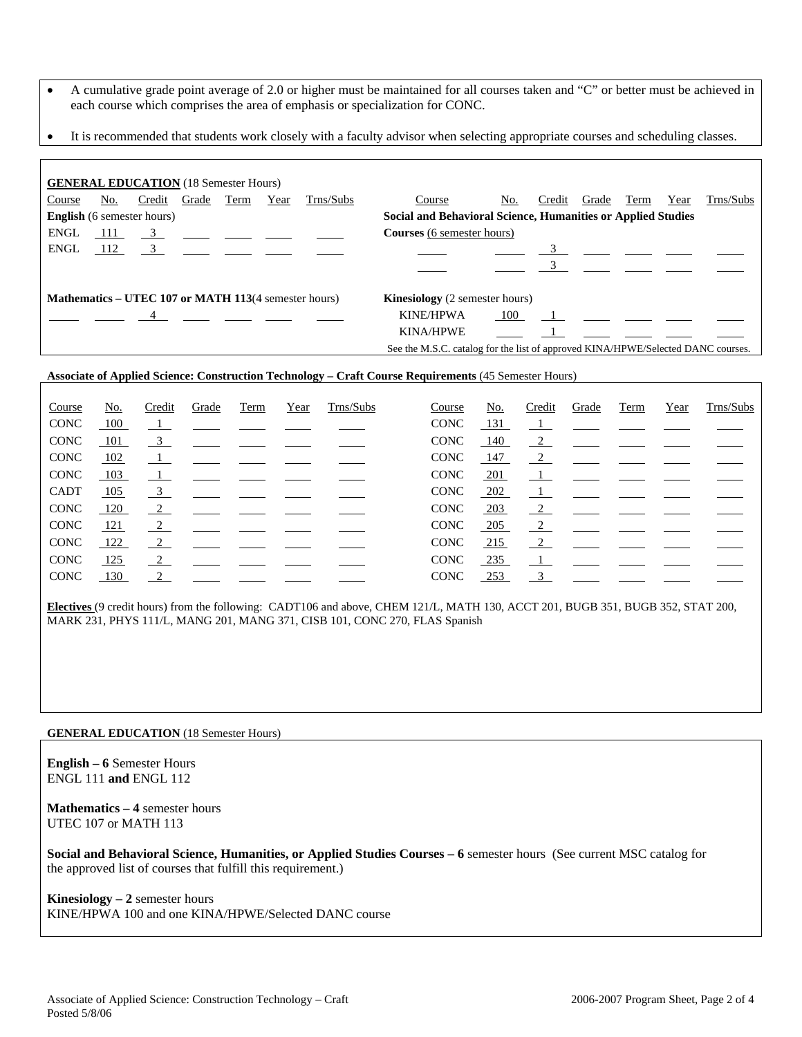- A cumulative grade point average of 2.0 or higher must be maintained for all courses taken and "C" or better must be achieved in each course which comprises the area of emphasis or specialization for CONC.
- It is recommended that students work closely with a faculty advisor when selecting appropriate courses and scheduling classes.

| <b>GENERAL EDUCATION</b> (18 Semester Hours) |                                                                                                       |                                                                                                                                                                      |       |      |      |                                                                       |                                                              |     |        |                                                                                                                                                                                                                                   |      |      |           |
|----------------------------------------------|-------------------------------------------------------------------------------------------------------|----------------------------------------------------------------------------------------------------------------------------------------------------------------------|-------|------|------|-----------------------------------------------------------------------|--------------------------------------------------------------|-----|--------|-----------------------------------------------------------------------------------------------------------------------------------------------------------------------------------------------------------------------------------|------|------|-----------|
| Course                                       | No.                                                                                                   | Credit                                                                                                                                                               | Grade | Term | Year | Trns/Subs                                                             | Course                                                       | No. | Credit | Grade                                                                                                                                                                                                                             | Term | Year | Trns/Subs |
| <b>English</b> (6 semester hours)            |                                                                                                       |                                                                                                                                                                      |       |      |      |                                                                       | Social and Behavioral Science, Humanities or Applied Studies |     |        |                                                                                                                                                                                                                                   |      |      |           |
| <b>ENGL</b>                                  | 111                                                                                                   |                                                                                                                                                                      |       |      |      | $\frac{3}{2}$ $\frac{1}{2}$ $\frac{1}{2}$ $\frac{1}{2}$ $\frac{1}{2}$ | <b>Courses</b> (6 semester hours)                            |     |        |                                                                                                                                                                                                                                   |      |      |           |
| <b>ENGL</b>                                  | 112                                                                                                   |                                                                                                                                                                      |       |      |      |                                                                       |                                                              |     |        |                                                                                                                                                                                                                                   |      |      |           |
|                                              |                                                                                                       |                                                                                                                                                                      |       |      |      |                                                                       |                                                              |     |        |                                                                                                                                                                                                                                   |      |      |           |
|                                              | <b>Mathematics – UTEC 107 or MATH 113</b> (4 semester hours)<br><b>Kinesiology</b> (2 semester hours) |                                                                                                                                                                      |       |      |      |                                                                       |                                                              |     |        |                                                                                                                                                                                                                                   |      |      |           |
|                                              |                                                                                                       | $\frac{4}{\sqrt{1-\frac{1}{2}}}$ $\frac{4}{\sqrt{1-\frac{1}{2}}}$ $\frac{1}{\sqrt{1-\frac{1}{2}}}$ $\frac{1}{\sqrt{1-\frac{1}{2}}}$ $\frac{1}{\sqrt{1-\frac{1}{2}}}$ |       |      |      |                                                                       | KINE/HPWA                                                    | 100 |        | $\mathbf{1}$ and the set of the set of the set of the set of the set of the set of the set of the set of the set of the set of the set of the set of the set of the set of the set of the set of the set of the set of the set of |      |      |           |
|                                              |                                                                                                       |                                                                                                                                                                      |       |      |      |                                                                       | <b>KINA/HPWE</b>                                             |     |        |                                                                                                                                                                                                                                   |      |      |           |
|                                              | See the M.S.C. catalog for the list of approved KINA/HPWE/Selected DANC courses.                      |                                                                                                                                                                      |       |      |      |                                                                       |                                                              |     |        |                                                                                                                                                                                                                                   |      |      |           |

### **Associate of Applied Science: Construction Technology – Craft Course Requirements** (45 Semester Hours)

| Course      | No.        | Credit         | Grade | Term | Year | Trns/Subs | Course      | <u>No.</u> | Credit        | Grade                                                          | Term | Year | Trns/Subs |
|-------------|------------|----------------|-------|------|------|-----------|-------------|------------|---------------|----------------------------------------------------------------|------|------|-----------|
| <b>CONC</b> | 100        | $\mathbf{1}$   |       |      |      |           | <b>CONC</b> | 131        |               |                                                                |      |      |           |
| <b>CONC</b> | 101        | $\overline{3}$ |       |      |      |           | <b>CONC</b> | 140        | $\frac{2}{2}$ |                                                                |      |      |           |
| <b>CONC</b> | 102        | $\perp$        |       |      |      |           | <b>CONC</b> | 147        | $\frac{2}{2}$ |                                                                |      |      |           |
| <b>CONC</b> | 103        | $\blacksquare$ |       |      |      |           | <b>CONC</b> | 201        |               |                                                                |      |      |           |
| CADT        | 105        | $\overline{3}$ |       |      |      |           | CONC        | 202        |               |                                                                |      |      |           |
| <b>CONC</b> | 120        | $\frac{2}{2}$  |       |      |      |           | <b>CONC</b> | $-203$     | $\frac{2}{2}$ |                                                                |      |      |           |
| <b>CONC</b> | 121        | $\frac{2}{2}$  |       |      |      |           | <b>CONC</b> | 205        |               | $\frac{2}{\sqrt{2}}$ $\frac{2}{\sqrt{2}}$ $\frac{2}{\sqrt{2}}$ |      |      |           |
| <b>CONC</b> | 122        | $\frac{2}{2}$  |       |      |      |           | <b>CONC</b> | 215        | 2             |                                                                |      |      |           |
| <b>CONC</b> | <u>125</u> | $\frac{2}{2}$  |       |      |      |           | <b>CONC</b> | 235        |               |                                                                |      |      |           |
| <b>CONC</b> | 130        | 2              |       |      |      |           | <b>CONC</b> | <u>253</u> |               | $\frac{3}{2}$                                                  |      |      |           |

**Electives** (9 credit hours) from the following: CADT106 and above, CHEM 121/L, MATH 130, ACCT 201, BUGB 351, BUGB 352, STAT 200, MARK 231, PHYS 111/L, MANG 201, MANG 371, CISB 101, CONC 270, FLAS Spanish

#### **GENERAL EDUCATION** (18 Semester Hours)

**English – 6** Semester Hours ENGL 111 **and** ENGL 112

**Mathematics – 4** semester hours UTEC 107 or MATH 113

**Social and Behavioral Science, Humanities, or Applied Studies Courses – 6** semester hours (See current MSC catalog for the approved list of courses that fulfill this requirement.)

**Kinesiology – 2** semester hours KINE/HPWA 100 and one KINA/HPWE/Selected DANC course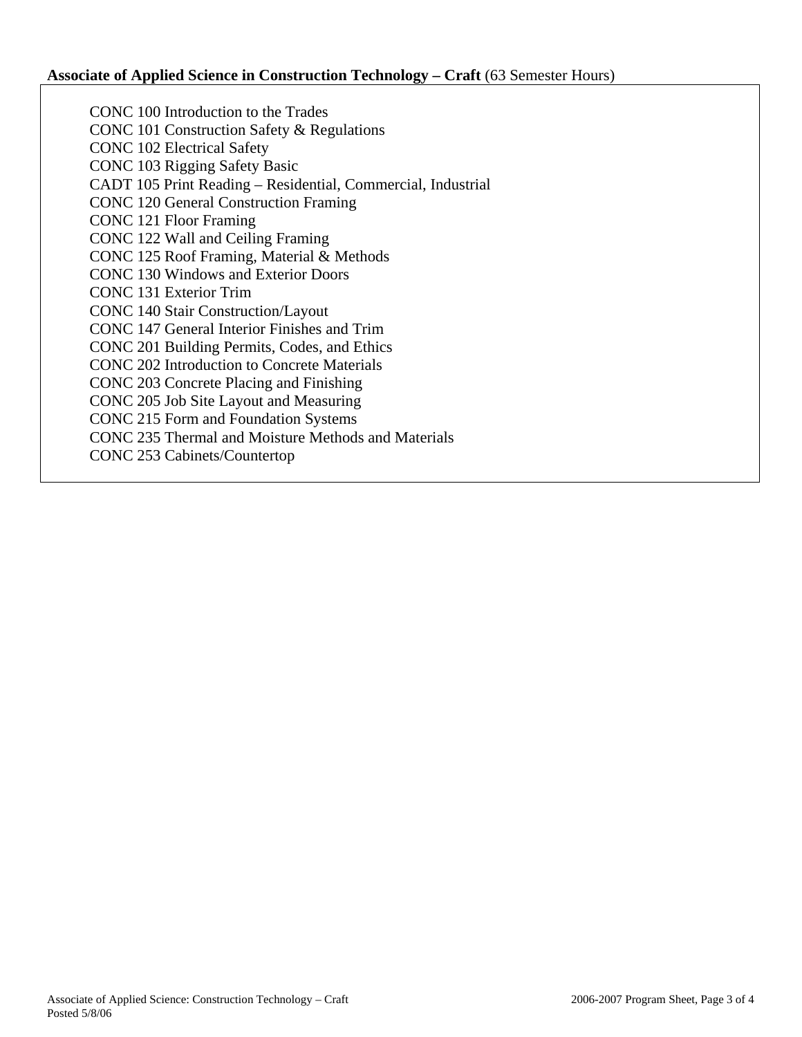## **Associate of Applied Science in Construction Technology – Craft** (63 Semester Hours)

CONC 100 Introduction to the Trades CONC 101 Construction Safety & Regulations CONC 102 Electrical Safety CONC 103 Rigging Safety Basic CADT 105 Print Reading – Residential, Commercial, Industrial CONC 120 General Construction Framing CONC 121 Floor Framing CONC 122 Wall and Ceiling Framing CONC 125 Roof Framing, Material & Methods CONC 130 Windows and Exterior Doors CONC 131 Exterior Trim CONC 140 Stair Construction/Layout CONC 147 General Interior Finishes and Trim CONC 201 Building Permits, Codes, and Ethics CONC 202 Introduction to Concrete Materials CONC 203 Concrete Placing and Finishing CONC 205 Job Site Layout and Measuring CONC 215 Form and Foundation Systems CONC 235 Thermal and Moisture Methods and Materials CONC 253 Cabinets/Countertop